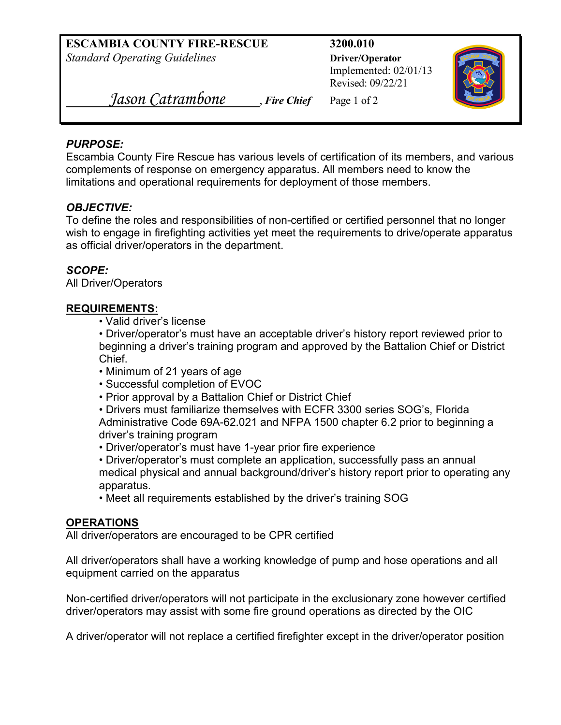**ESCAMBIA COUNTY FIRE-RESCUE 3200.010** *Standard Operating Guidelines* **Diver/Operator** 

Implemented: 02/01/13 Revised: 09/22/21



 *Jason Catrambone* , *Fire Chief* Page 1 of <sup>2</sup>

# *PURPOSE:*

Escambia County Fire Rescue has various levels of certification of its members, and various complements of response on emergency apparatus. All members need to know the limitations and operational requirements for deployment of those members.

# *OBJECTIVE:*

To define the roles and responsibilities of non-certified or certified personnel that no longer wish to engage in firefighting activities yet meet the requirements to drive/operate apparatus as official driver/operators in the department.

# *SCOPE:*

All Driver/Operators

# **REQUIREMENTS:**

• Valid driver's license

• Driver/operator's must have an acceptable driver's history report reviewed prior to beginning a driver's training program and approved by the Battalion Chief or District Chief.

- Minimum of 21 years of age
- Successful completion of EVOC
- Prior approval by a Battalion Chief or District Chief

• Drivers must familiarize themselves with ECFR 3300 series SOG's, Florida Administrative Code 69A-62.021 and NFPA 1500 chapter 6.2 prior to beginning a driver's training program

- Driver/operator's must have 1-year prior fire experience
- Driver/operator's must complete an application, successfully pass an annual medical physical and annual background/driver's history report prior to operating any apparatus.
- Meet all requirements established by the driver's training SOG

# **OPERATIONS**

All driver/operators are encouraged to be CPR certified

All driver/operators shall have a working knowledge of pump and hose operations and all equipment carried on the apparatus

Non-certified driver/operators will not participate in the exclusionary zone however certified driver/operators may assist with some fire ground operations as directed by the OIC

A driver/operator will not replace a certified firefighter except in the driver/operator position